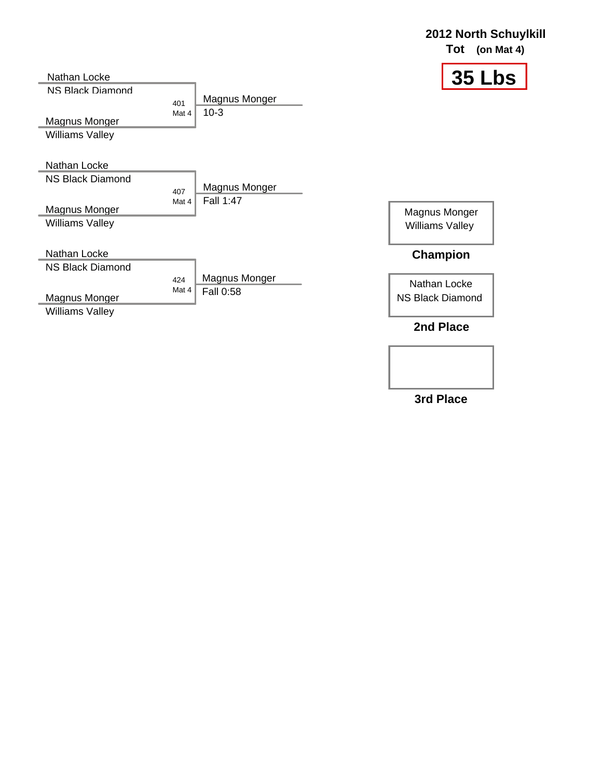| Nathan Locke                                                                       |                                            | <b>35 Lbs</b>                                              |
|------------------------------------------------------------------------------------|--------------------------------------------|------------------------------------------------------------|
| NS Black Diamond<br>Magnus Monger<br><b>Williams Valley</b>                        | Magnus Monger<br>401<br>$10-3$<br>Mat 4    |                                                            |
| Nathan Locke<br><b>NS Black Diamond</b><br>Magnus Monger<br><b>Williams Valley</b> | Magnus Monger<br>407<br>Fall 1:47<br>Mat 4 | Magnus Monger<br><b>Williams Valley</b>                    |
| Nathan Locke<br><b>NS Black Diamond</b><br>Magnus Monger<br><b>Williams Valley</b> | Magnus Monger<br>424<br>Mat 4<br>Fall 0:58 | <b>Champion</b><br>Nathan Locke<br><b>NS Black Diamond</b> |
|                                                                                    |                                            | 2nd Place                                                  |

**3rd Place**

**2012 North Schuylkill Tot (on Mat 4)**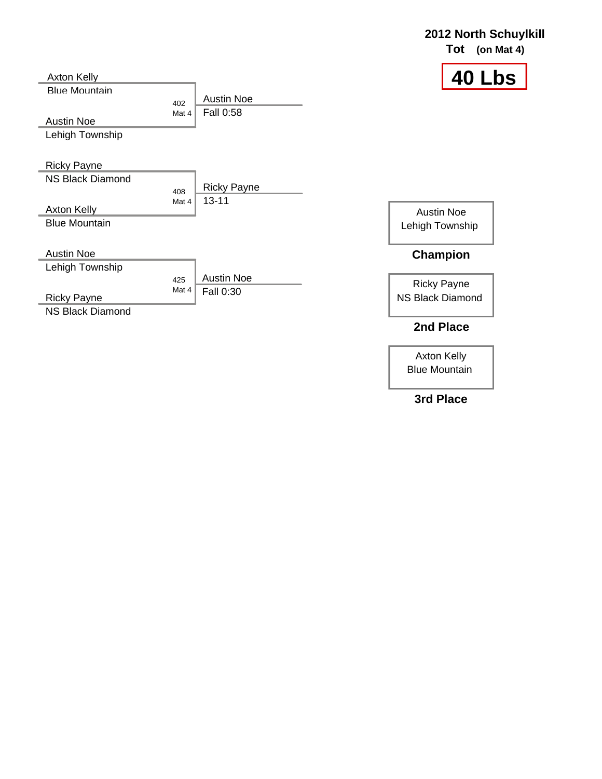### **2012 North Schuylkill Tot (on Mat 4)**

Austin Noe Lehigh Township

Ricky Payne

Axton Kelly Blue Mountain

NS Black Diamond 408 Mat 4 **Axton Kelly** Blue Mountain Ricky Payne 13-11

> 425 Mat 4

> 402 Mat 4

Austin Noe Fall 0:58

Austin Noe Fall 0:30

Austin Noe

Lehigh Township

Ricky Payne

NS Black Diamond

Austin Noe Lehigh Township

#### **Champion**

Ricky Payne NS Black Diamond

## **2nd Place**

Axton Kelly Blue Mountain

### **3rd Place**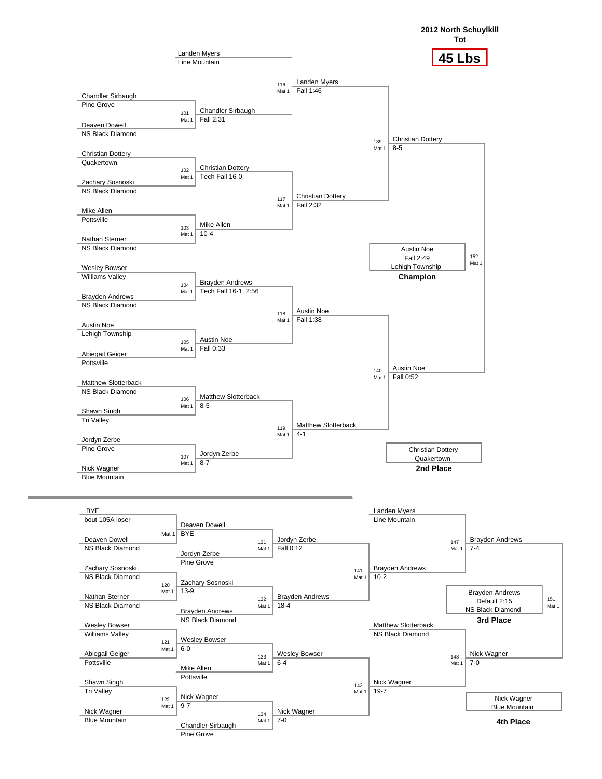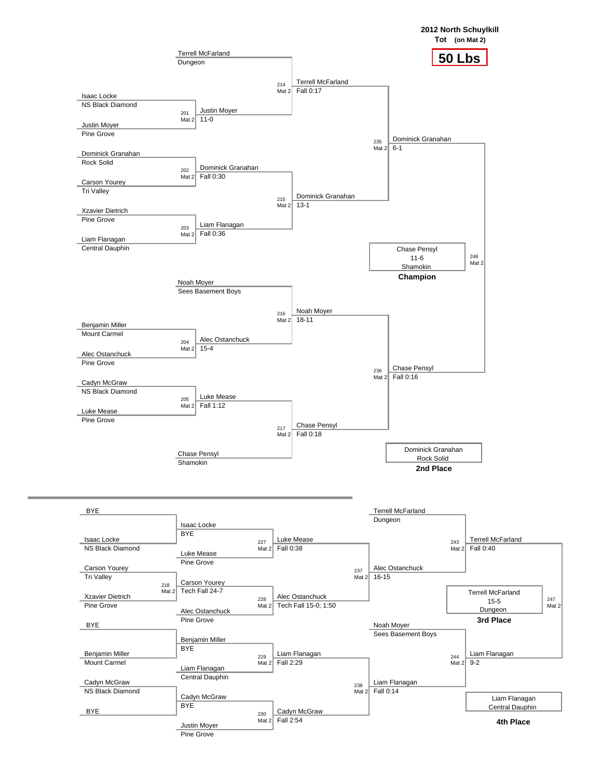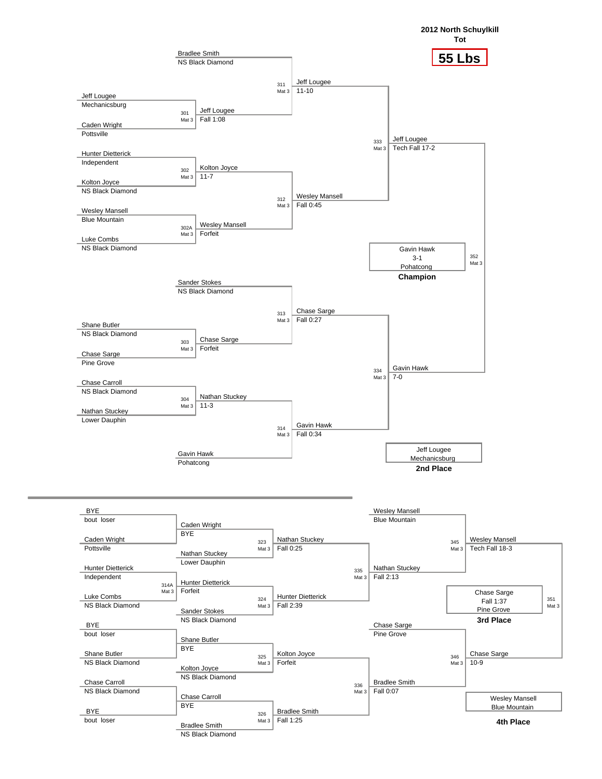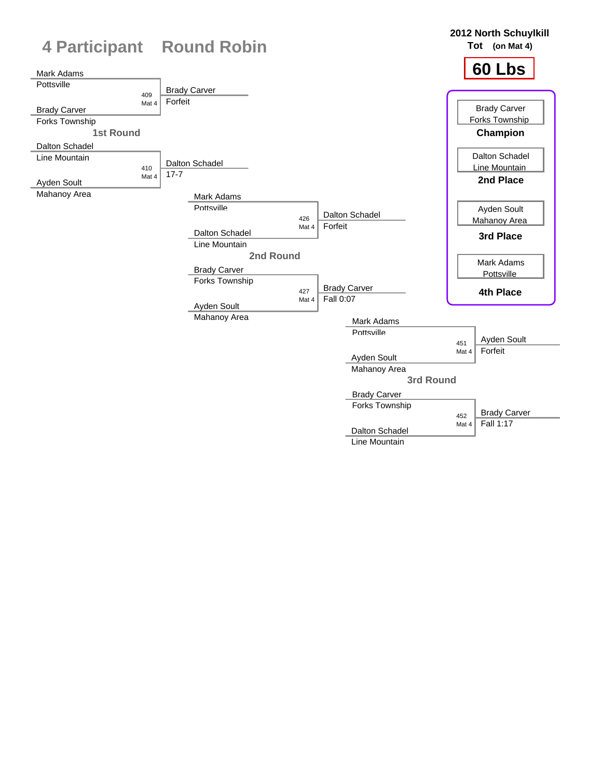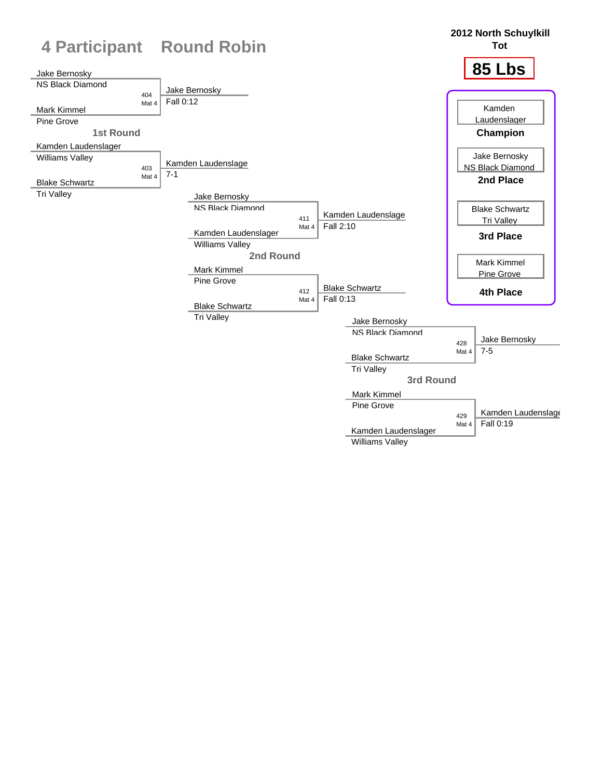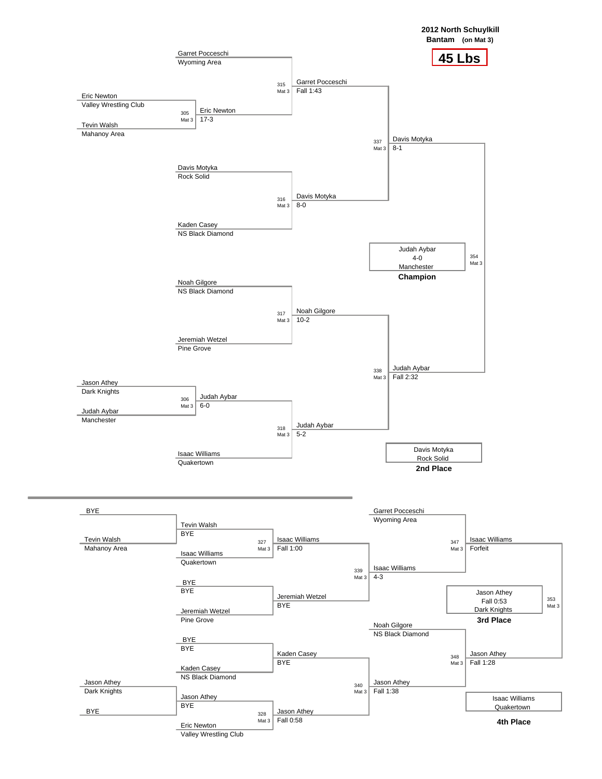

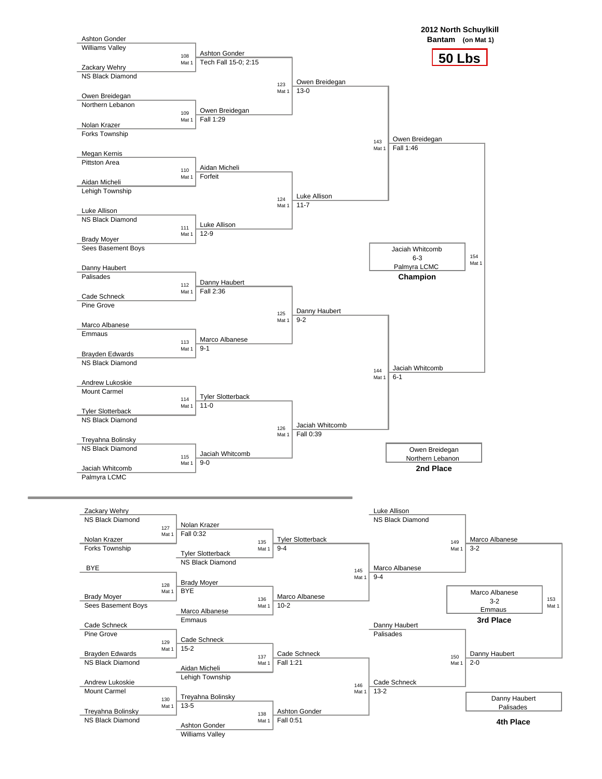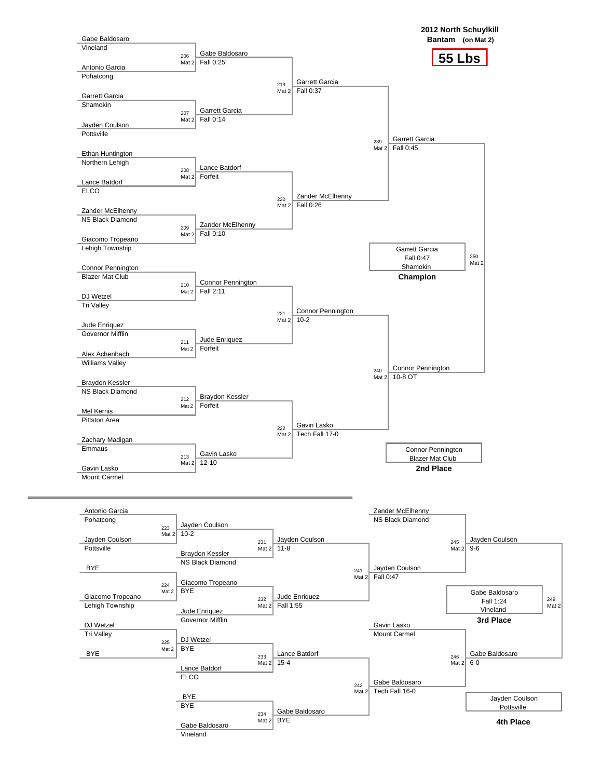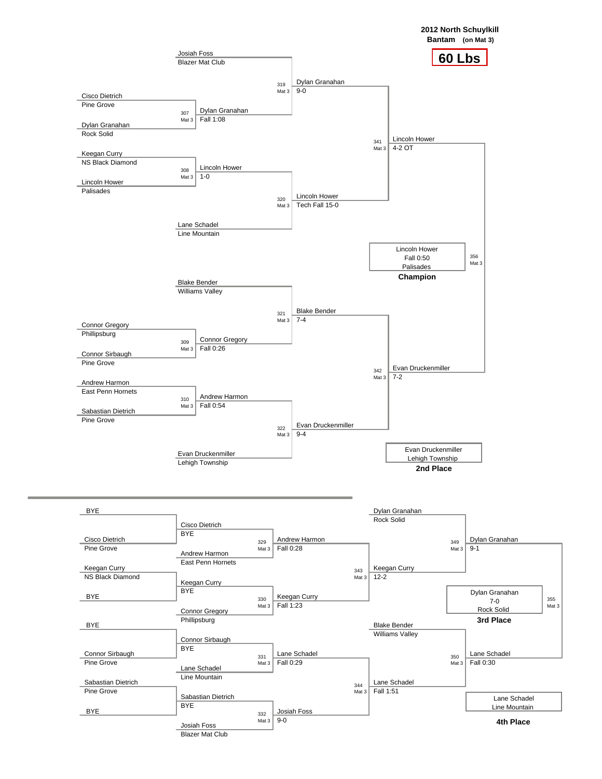**2012 North Schuylkill**

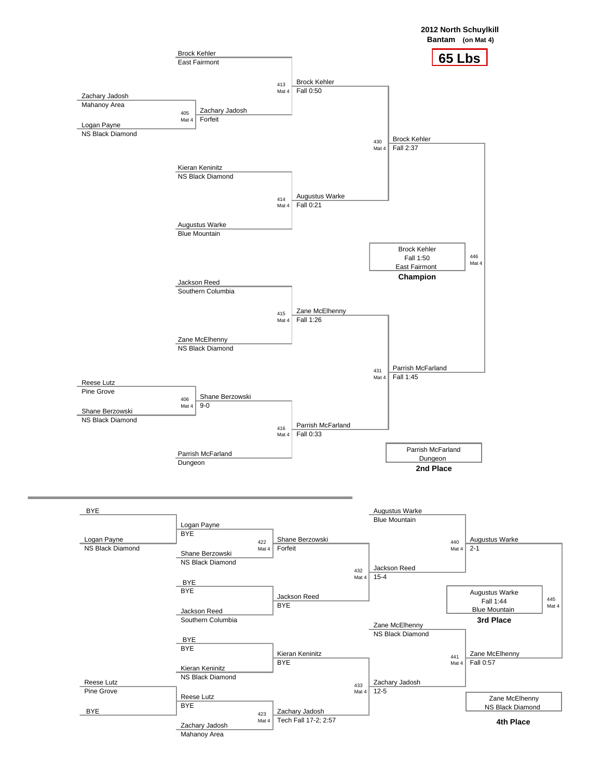

![](_page_11_Figure_1.jpeg)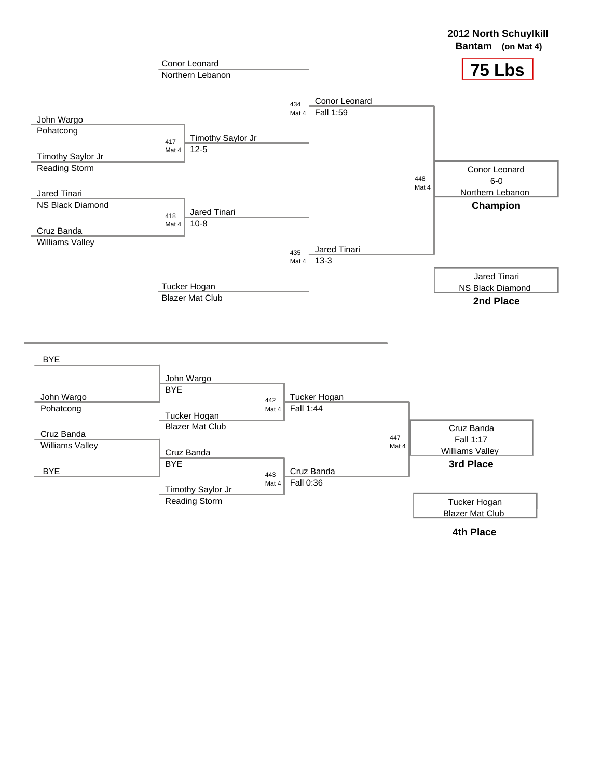![](_page_12_Figure_0.jpeg)

![](_page_12_Figure_1.jpeg)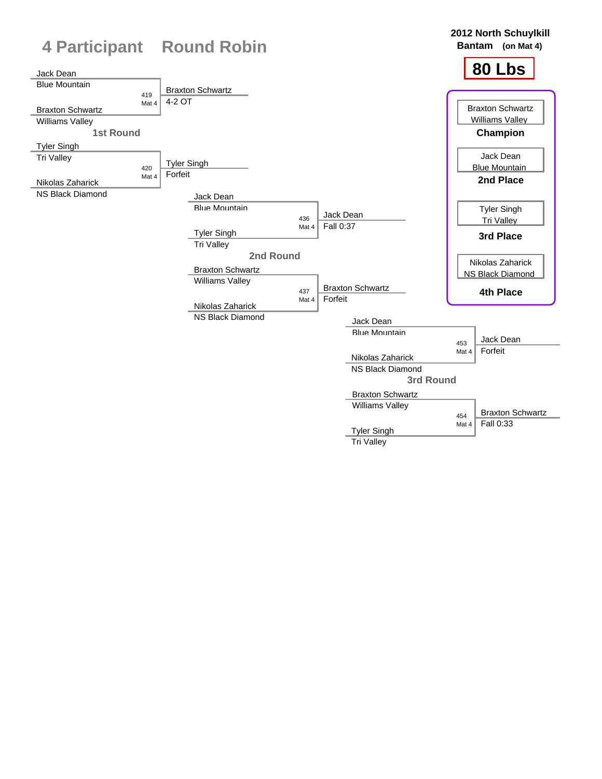![](_page_13_Figure_0.jpeg)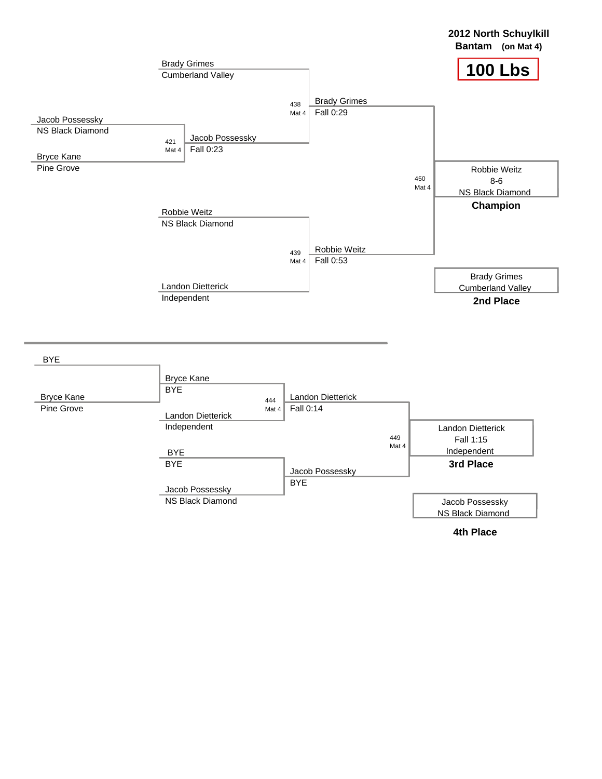![](_page_14_Figure_0.jpeg)

![](_page_14_Figure_1.jpeg)

**2012 North Schuylkill**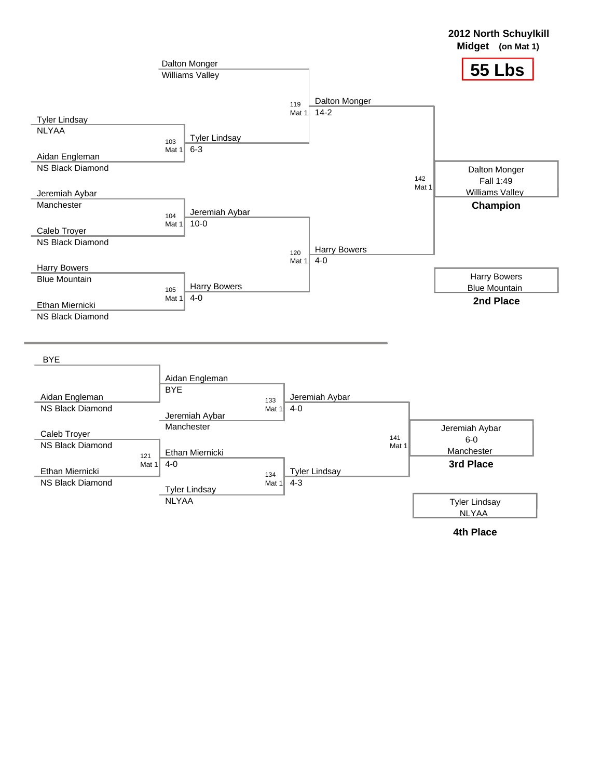![](_page_15_Figure_0.jpeg)

![](_page_15_Figure_1.jpeg)

**2012 North Schuylkill**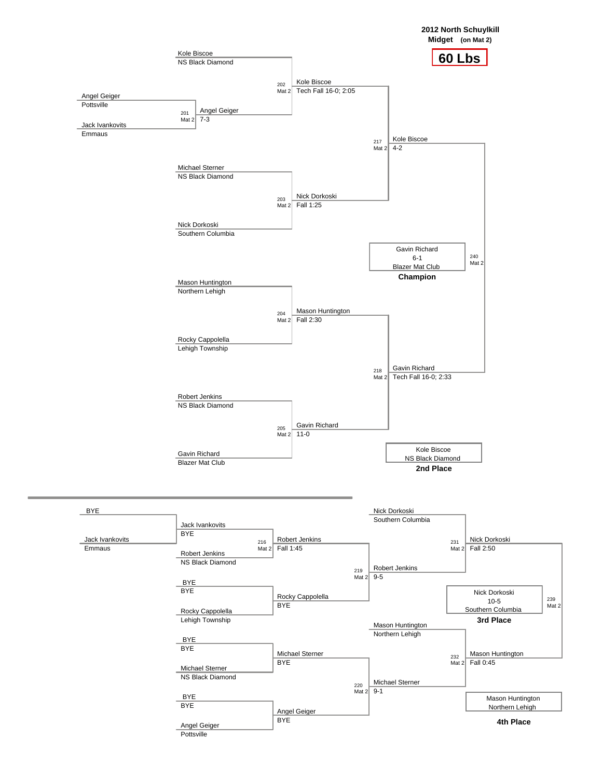![](_page_16_Figure_0.jpeg)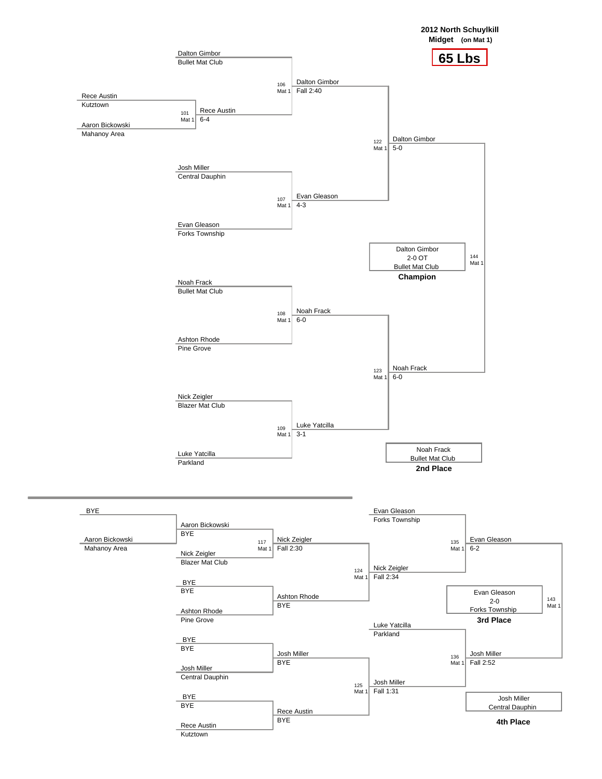![](_page_17_Figure_0.jpeg)

![](_page_17_Figure_1.jpeg)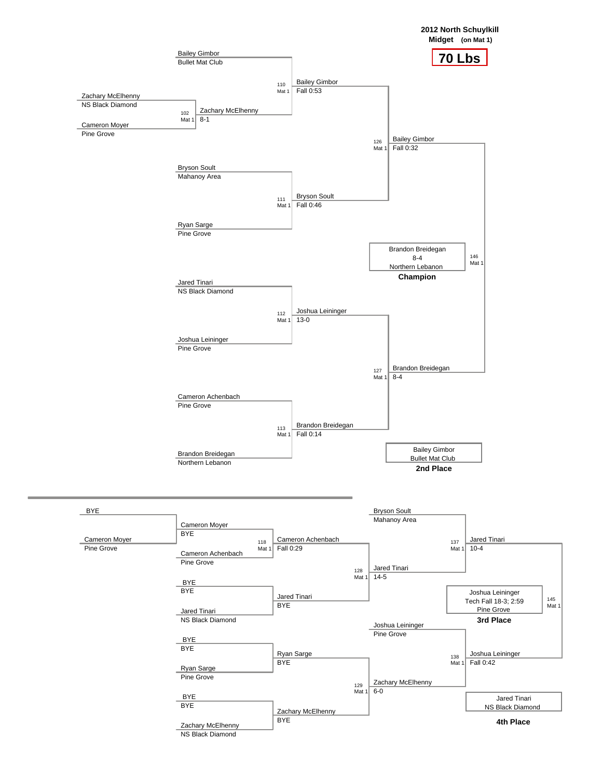![](_page_18_Figure_0.jpeg)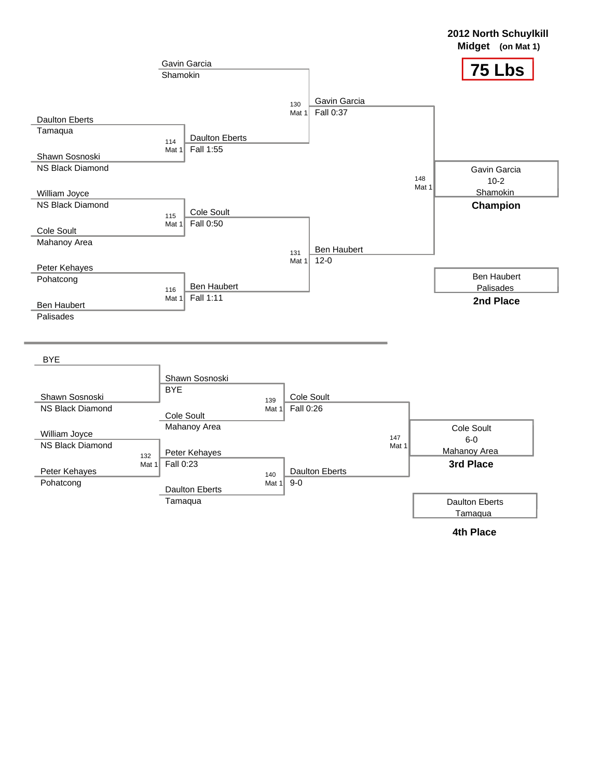![](_page_19_Figure_0.jpeg)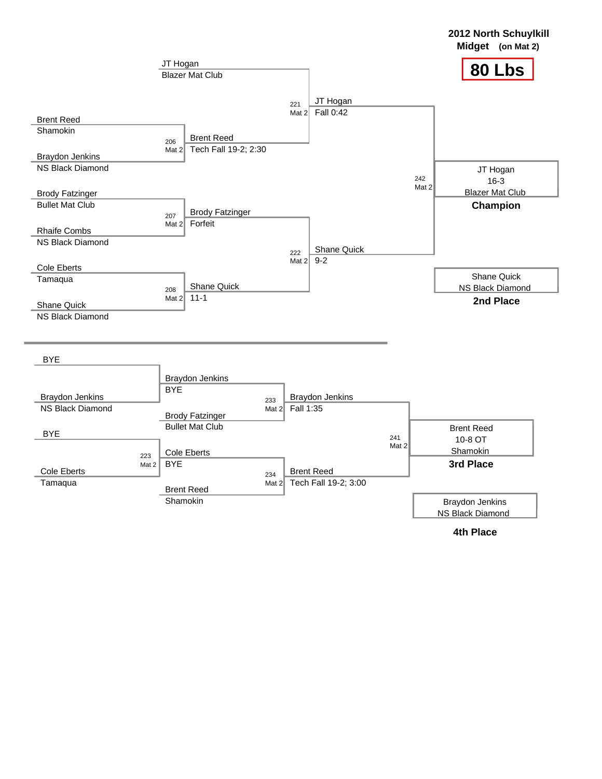![](_page_20_Figure_0.jpeg)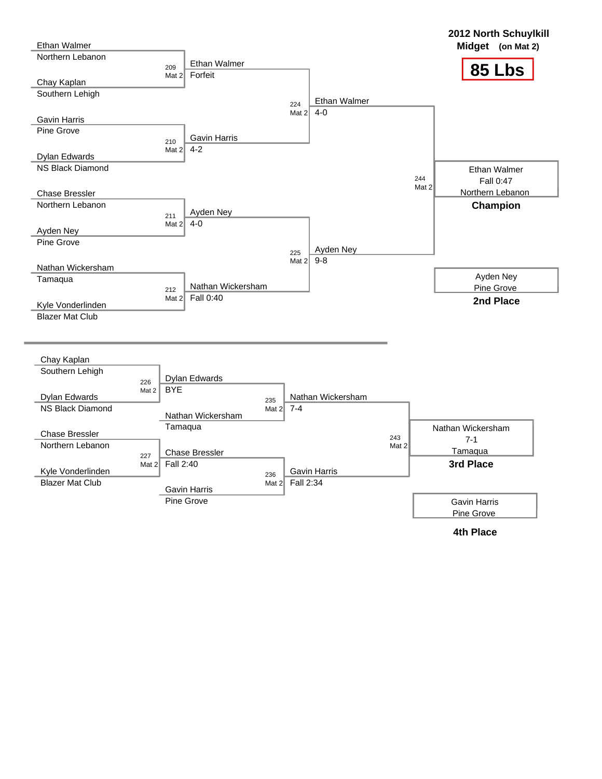![](_page_21_Figure_0.jpeg)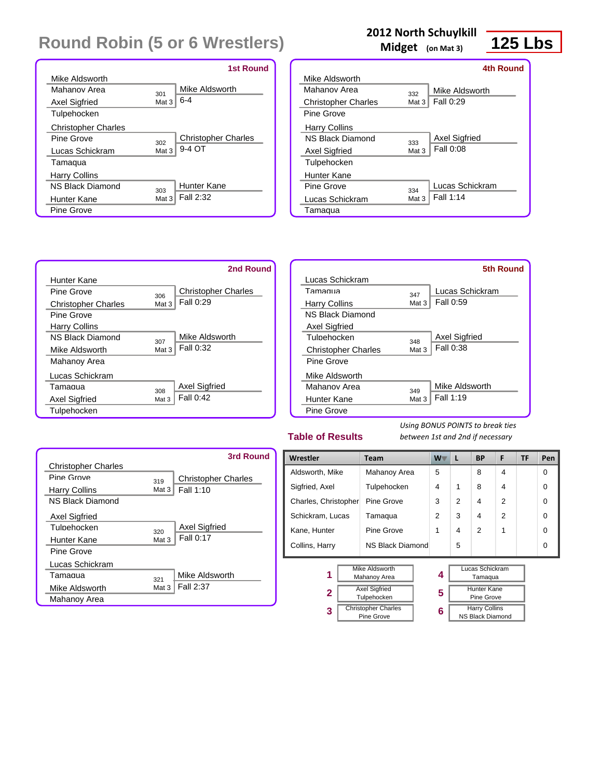|                            |                  | <b>1st Round</b>           |
|----------------------------|------------------|----------------------------|
| Mike Aldsworth             |                  |                            |
| Mahanov Area               | 301              | Mike Aldsworth             |
| <b>Axel Sigfried</b>       | Mat <sub>3</sub> | $6 - 4$                    |
| Tulpehocken                |                  |                            |
| <b>Christopher Charles</b> |                  |                            |
| Pine Grove                 | 302              | <b>Christopher Charles</b> |
| Lucas Schickram            | Mat 3            | 9-4 OT                     |
| Tamaqua                    |                  |                            |
| <b>Harry Collins</b>       |                  |                            |
| <b>N.S. Black Diamond</b>  | 303              | Hunter Kane                |
| Hunter Kane                | Mat 3            | Fall 2:32                  |
| Pine Grove                 |                  |                            |

## **2012 North Schuylkill**

**Midget (on Mat 3)**

![](_page_22_Picture_4.jpeg)

|                            |       | 4th Round            |
|----------------------------|-------|----------------------|
| Mike Aldsworth             |       |                      |
| Mahanov Area               | 332   | Mike Aldsworth       |
| <b>Christopher Charles</b> | Mat 3 | Fall 0:29            |
| Pine Grove                 |       |                      |
| <b>Harry Collins</b>       |       |                      |
| <b>N.S. Black Diamond</b>  | 333   | <b>Axel Sigfried</b> |
| <b>Axel Sigfried</b>       | Mat 3 | Fall 0:08            |
| Tulpehocken                |       |                      |
| Hunter Kane                |       |                      |
| Pine Grove                 | 334   | Lucas Schickram      |
| Lucas Schickram            | Mat 3 | Fall 1:14            |
| Tamaqua                    |       |                      |

![](_page_22_Figure_6.jpeg)

|                            |       | 5th Round       |
|----------------------------|-------|-----------------|
| Lucas Schickram            |       |                 |
| Tamagua                    | 347   | Lucas Schickram |
| <b>Harry Collins</b>       | Mat 3 | Fall 0:59       |
| <b>NS Black Diamond</b>    |       |                 |
| <b>Axel Sigfried</b>       |       |                 |
| Tulnehocken                | 348   | Axel Sigfried   |
| <b>Christopher Charles</b> | Mat 3 | Fall 0:38       |
| Pine Grove                 |       |                 |
| Mike Aldsworth             |       |                 |
| Mahanov Area               | 349   | Mike Aldsworth  |
| Hunter Kane                | Mat 3 | Fall 1:19       |
| Pine Grove                 |       |                 |

#### **Table of Results**

**3**

*Using BONUS POINTS to break ties between 1st and 2nd if necessary*

> Harry Collins NS Black Diamond

|                            |       | <b>3rd Round</b>           |
|----------------------------|-------|----------------------------|
| <b>Christopher Charles</b> |       |                            |
| Pine Grove                 | 319   | <b>Christopher Charles</b> |
| Harry Collins              | Mat 3 | Fall 1:10                  |
| <b>NS Black Diamond</b>    |       |                            |
| <b>Axel Sigfried</b>       |       |                            |
| Tulnehocken                | 320   | Axel Sigfried              |
| Hunter Kane                | Mat 3 | Fall 0:17                  |
| Pine Grove                 |       |                            |
| Lucas Schickram            |       |                            |
| Tamagua                    | 321   | Mike Aldsworth             |
| Mike Aldsworth             | Mat 3 | Fall 2:37                  |
| Mahanoy Area               |       |                            |

| Wrestler                                   | Team                                | W <sub>V</sub> | L              | <b>BP</b>                               | F              | <b>TF</b> | Pen      |
|--------------------------------------------|-------------------------------------|----------------|----------------|-----------------------------------------|----------------|-----------|----------|
| Aldsworth, Mike                            | Mahanoy Area                        | 5              |                | 8                                       | 4              |           | 0        |
| Sigfried, Axel                             | Tulpehocken                         | 4              | 1              | 8                                       | 4              |           | $\Omega$ |
| Charles, Christopher                       | Pine Grove                          | 3              | $\mathfrak{p}$ | 4                                       | $\overline{2}$ |           | $\Omega$ |
| Schickram, Lucas                           | Tamaqua                             | 2              | 3              | 4                                       | $\overline{2}$ |           | $\Omega$ |
| Kane, Hunter                               | Pine Grove                          |                | 4              | 2                                       | 1              |           | $\Omega$ |
| <b>NS Black Diamond</b><br>Collins, Harry  |                                     |                | 5              |                                         |                |           | $\Omega$ |
| <b>Mike Aldsworth</b><br>1<br>Mahanoy Area |                                     | 4              |                | Lucas Schickram<br>Tamaqua              |                |           |          |
| 2                                          | <b>Axel Sigfried</b><br>Tulpehocken | 5              |                | <b>Hunter Kane</b><br><b>Pine Grove</b> |                |           |          |

**6**

Christopher Charles Pine Grove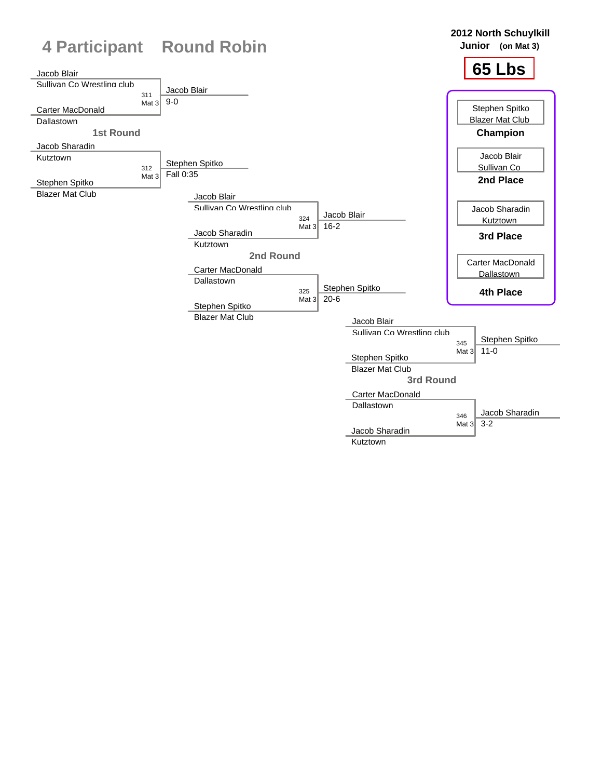![](_page_23_Figure_0.jpeg)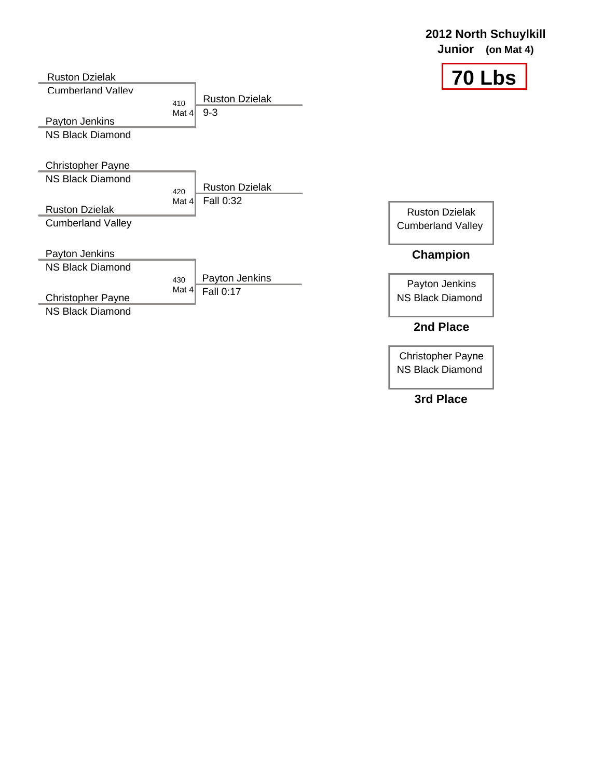| <b>Ruston Dzielak</b>                     |                         |                       | <b>70 Lbs</b>            |
|-------------------------------------------|-------------------------|-----------------------|--------------------------|
| <b>Cumberland Valley</b>                  | 410                     | <b>Ruston Dzielak</b> |                          |
|                                           | Mat $41$                | $9 - 3$               |                          |
| Payton Jenkins<br><b>NS Black Diamond</b> |                         |                       |                          |
|                                           |                         |                       |                          |
| <b>Christopher Payne</b>                  |                         |                       |                          |
| NS Black Diamond                          |                         | <b>Ruston Dzielak</b> |                          |
|                                           | 420<br>Mat $4\parallel$ | Fall 0:32             |                          |
| <b>Ruston Dzielak</b>                     |                         |                       | <b>Ruston Dzielak</b>    |
| <b>Cumberland Valley</b>                  |                         |                       | <b>Cumberland Valley</b> |
| Payton Jenkins                            |                         |                       | <b>Champion</b>          |
| <b>NS Black Diamond</b>                   |                         |                       |                          |
|                                           | 430<br>Mat $4$          | Payton Jenkins        | Payton Jenkins           |
| <b>Christopher Payne</b>                  |                         | Fall 0:17             | <b>NS Black Diamond</b>  |
| <b>NS Black Diamond</b>                   |                         |                       |                          |
|                                           |                         |                       | 2nd Place                |

Christopher Payne NS Black Diamond

**2012 North Schuylkill Junior (on Mat 4)**

**3rd Place**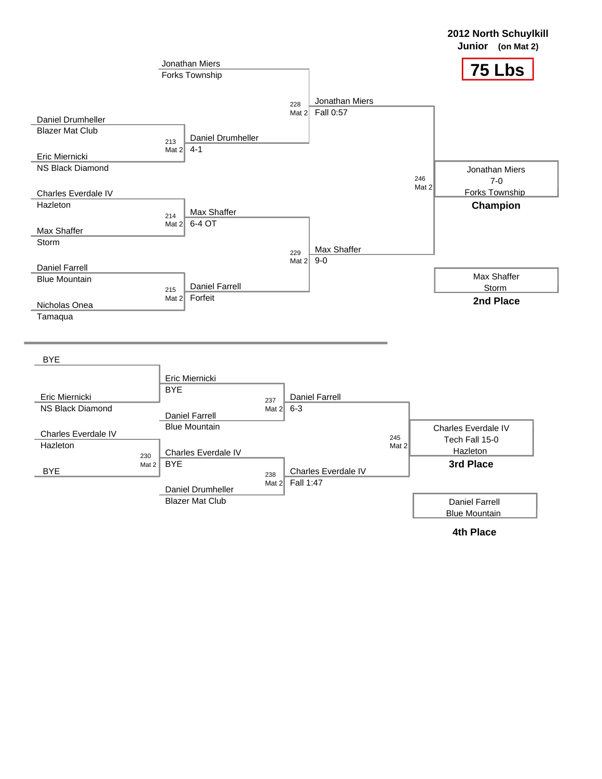![](_page_25_Figure_0.jpeg)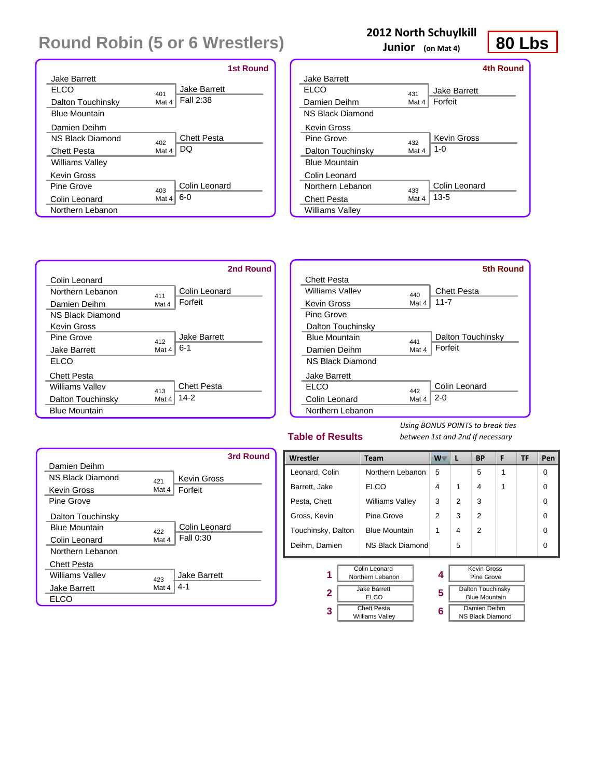|                           |       | <b>1st Round</b>    |
|---------------------------|-------|---------------------|
| <b>Jake Barrett</b>       |       |                     |
| EI CO                     | 401   | <b>Jake Barrett</b> |
| Dalton Touchinsky         | Mat 4 | Fall 2:38           |
| <b>Blue Mountain</b>      |       |                     |
| Damien Deihm              |       |                     |
| <b>N.S. Black Diamond</b> | 402   | <b>Chett Pesta</b>  |
| <b>Chett Pesta</b>        | Mat 4 | DQ                  |
| <b>Williams Valley</b>    |       |                     |
| <b>Kevin Gross</b>        |       |                     |
| Pine Grove                | 403   | Colin Leonard       |
| Colin Leonard             | Mat 4 | $6-0$               |
| Northern Lebanon          |       |                     |

### **2012 North Schuylkill**

**Junior (on Mat 4)**

![](_page_26_Figure_4.jpeg)

|                      |       | 4th Round           |
|----------------------|-------|---------------------|
| <b>Jake Barrett</b>  |       |                     |
| ELCO                 | 431   | <b>Jake Barrett</b> |
| Damien Deihm         | Mat 4 | Forfeit             |
| NS Black Diamond     |       |                     |
| <b>Kevin Gross</b>   |       |                     |
| Pine Grove           | 432   | <b>Kevin Gross</b>  |
| Dalton Touchinsky    | Mat 4 | $1 - 0$             |
| <b>Blue Mountain</b> |       |                     |
| Colin Leonard        |       |                     |
| Northern Lebanon     | 433   | Colin Leonard       |
| <b>Chett Pesta</b>   | Mat 4 | $13 - 5$            |
| Williams Valley      |       |                     |

![](_page_26_Figure_6.jpeg)

#### **Table of Results**

**3**

*Using BONUS POINTS to break ties between 1st and 2nd if necessary*

|                           |       | 3rd Round           |
|---------------------------|-------|---------------------|
| Damien Deihm              |       |                     |
| <b>N.S. Black Diamond</b> | 421   | <b>Kevin Gross</b>  |
| Kevin Gross               | Mat 4 | Forfeit             |
| Pine Grove                |       |                     |
| Dalton Touchinsky         |       |                     |
| <b>Blue Mountain</b>      | 422   | Colin Leonard       |
| Colin Leonard             | Mat 4 | Fall 0:30           |
| Northern Lebanon          |       |                     |
| <b>Chett Pesta</b>        |       |                     |
| Williams Valley           | 423   | <b>Jake Barrett</b> |
| <b>Jake Barrett</b>       | Mat 4 | 4-1                 |
| EL CO                     |       |                     |

| Wrestler           |                                   | <b>Team</b>                  |   | <b>W</b><br>L | <b>BP</b>                                        | F | <b>TF</b> | Pen      |
|--------------------|-----------------------------------|------------------------------|---|---------------|--------------------------------------------------|---|-----------|----------|
| Leonard, Colin     |                                   | Northern Lebanon             |   |               | 5                                                | 1 |           | $\Omega$ |
| Barrett, Jake      |                                   | <b>ELCO</b>                  | 4 | 1             | $\overline{4}$                                   | 1 |           | $\Omega$ |
| Pesta, Chett       |                                   | <b>Williams Valley</b>       | 3 | 2             | 3                                                |   |           | $\Omega$ |
| Gross, Kevin       |                                   | Pine Grove                   |   | 3             | 2                                                |   |           | $\Omega$ |
| Touchinsky, Dalton |                                   | <b>Blue Mountain</b>         |   | 4             | $\mathfrak{p}$                                   |   |           | $\Omega$ |
| Deihm, Damien      |                                   | NS Black Diamond             |   | 5             |                                                  |   |           | $\Omega$ |
|                    |                                   |                              |   |               |                                                  |   |           |          |
| 1                  | Colin Leonard<br>Northern Lebanon |                              | 4 |               | <b>Kevin Gross</b><br>Pine Grove                 |   |           |          |
| 2                  |                                   | <b>Jake Barrett</b><br>FI CO | 5 |               | <b>Dalton Touchinsky</b><br><b>Blue Mountain</b> |   |           |          |

**6**

| Jake Barrett       |  |
|--------------------|--|
| ELCO               |  |
| <b>Chett Pesta</b> |  |
|                    |  |

| Kevin Gross<br>Pine Grove                        |
|--------------------------------------------------|
| <b>Dalton Touchinsky</b><br><b>Blue Mountain</b> |
| Damien Deihm                                     |
| <b>NS Black Diamond</b>                          |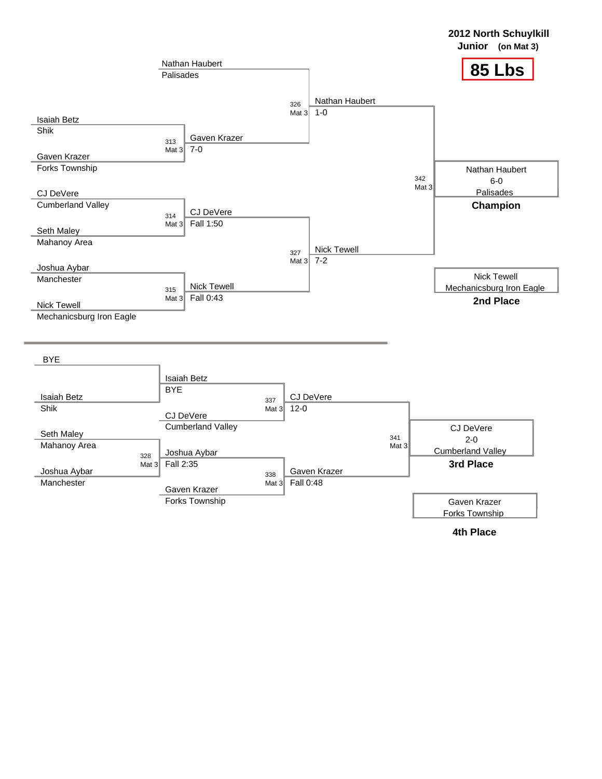![](_page_27_Figure_0.jpeg)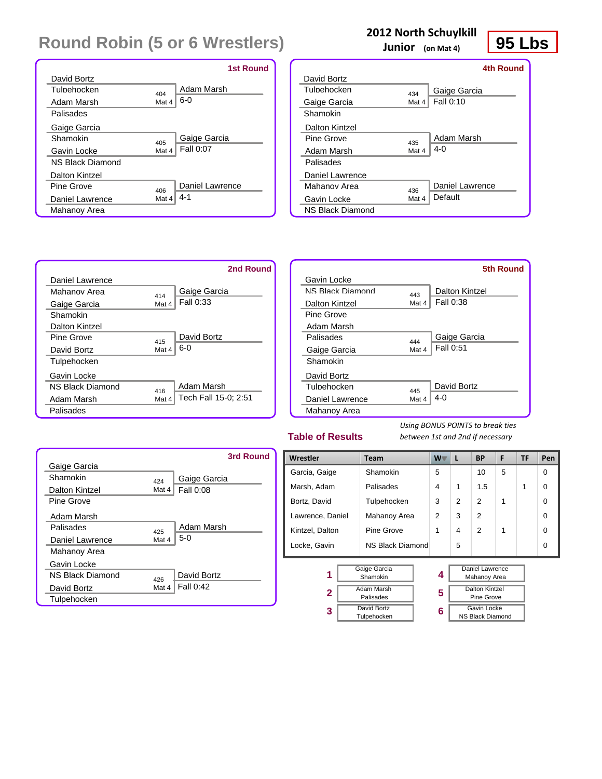|                         |       | <b>1st Round</b> |
|-------------------------|-------|------------------|
| David Bortz             |       |                  |
| Tulnehocken             | 404   | Adam Marsh       |
| Adam Marsh              | Mat 4 | $6-0$            |
| Palisades               |       |                  |
| Gaige Garcia            |       |                  |
| Shamokin                | 405   | Gaige Garcia     |
| Gavin Locke             | Mat 4 | Fall 0:07        |
| <b>NS Black Diamond</b> |       |                  |
| Dalton Kintzel          |       |                  |
| Pine Grove              | 406   | Daniel Lawrence  |
| Daniel Lawrence         | Mat 4 | 4-1              |
| Mahanoy Area            |       |                  |

### **2012 North Schuylkill**

**Junior (on Mat 4)**

![](_page_28_Figure_4.jpeg)

|                  |       | 4th Round       |
|------------------|-------|-----------------|
| David Bortz      |       |                 |
| Tulnehocken      | 434   | Gaige Garcia    |
| Gaige Garcia     | Mat 4 | Fall 0:10       |
| Shamokin         |       |                 |
| Dalton Kintzel   |       |                 |
| Pine Grove       | 435   | Adam Marsh      |
| Adam Marsh       | Mat 4 | $4 - 0$         |
| Palisades        |       |                 |
| Daniel Lawrence  |       |                 |
| Mahanov Area     | 436   | Daniel Lawrence |
| Gavin Locke      | Mat 4 | Default         |
| NS Black Diamond |       |                 |

![](_page_28_Figure_6.jpeg)

#### **Table of Results**

*Using BONUS POINTS to break ties between 1st and 2nd if necessary*

|                         |       | 3rd Round    |
|-------------------------|-------|--------------|
| Gaige Garcia            |       |              |
| Shamokin                | 424   | Gaige Garcia |
| Dalton Kintzel          | Mat 4 | Fall 0:08    |
| Pine Grove              |       |              |
| Adam Marsh              |       |              |
| Palisades               | 425   | Adam Marsh   |
| Daniel Lawrence         | Mat 4 | $5-0$        |
| Mahanoy Area            |       |              |
| Gavin Locke             |       |              |
| <b>NS Black Diamond</b> | 426   | David Bortz  |
| David Bortz             | Mat 4 | Fall 0:42    |
| Tulpehocken             |       |              |

| Wrestler                      |                | <b>Team</b>      | $W^-$ | L                               | <b>BP</b>               | F | TF | Pen |
|-------------------------------|----------------|------------------|-------|---------------------------------|-------------------------|---|----|-----|
| Garcia, Gaige                 |                | Shamokin         | 5     |                                 | 10                      | 5 |    | 0   |
| Marsh, Adam                   |                | Palisades        | 4     | 1                               | 1.5                     |   | 1  | 0   |
| Bortz, David                  |                | Tulpehocken      | 3     | $\mathfrak{p}$                  | 2                       | 1 |    | 0   |
| Lawrence, Daniel              |                | Mahanoy Area     | 2     | 3                               | 2                       |   |    | 0   |
| Kintzel, Dalton               |                | Pine Grove       |       | 4                               | $\mathcal{P}$           |   |    | ∩   |
| Locke, Gavin                  |                | NS Black Diamond |       | 5                               |                         |   |    | 0   |
|                               |                |                  |       |                                 |                         |   |    |     |
| Gaige Garcia<br>1<br>Shamokin |                | 4                |       | Daniel Lawrence<br>Mahanoy Area |                         |   |    |     |
| <b>Adam Marsh</b>             |                |                  |       | Dalton Kintzel                  |                         |   |    |     |
|                               | 2<br>Palisades |                  | 5     |                                 | Pine Grove              |   |    |     |
| 3                             | David Bortz    |                  | 6     | Gavin Locke                     |                         |   |    |     |
|                               | Tulpehocken    |                  |       |                                 | <b>NS Black Diamond</b> |   |    |     |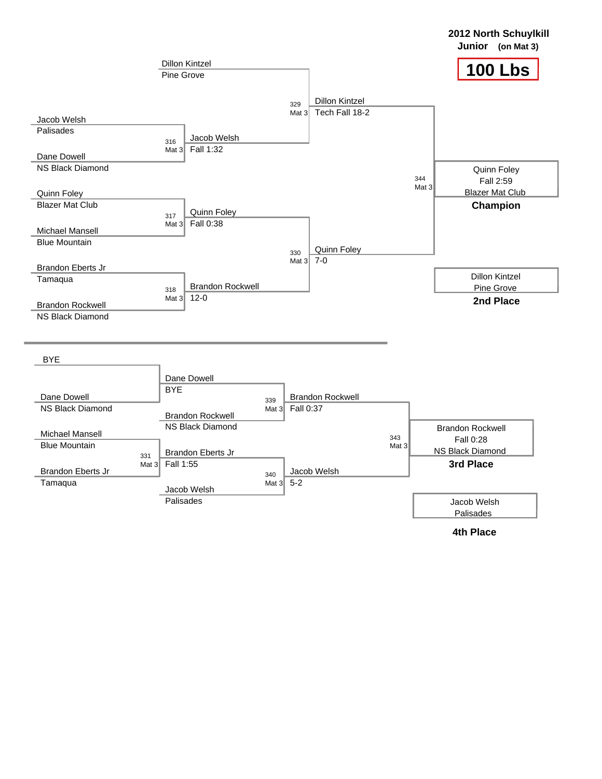![](_page_29_Figure_0.jpeg)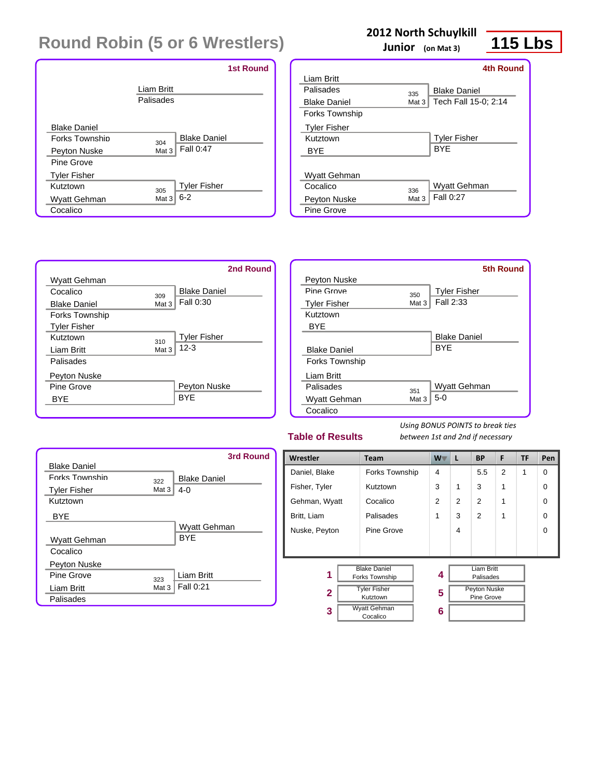|                       |                         | <b>1st Round</b>    |  |
|-----------------------|-------------------------|---------------------|--|
|                       | Liam Britt<br>Palisades |                     |  |
| <b>Blake Daniel</b>   |                         |                     |  |
| <b>Forks Townshin</b> | 304                     | <b>Blake Daniel</b> |  |
| Peyton Nuske          | Mat 3                   | Fall 0:47           |  |
| Pine Grove            |                         |                     |  |
| <b>Tyler Fisher</b>   |                         |                     |  |
| Kutztown              | 305                     | <b>Tyler Fisher</b> |  |
| Wyatt Gehman          | Mat 3                   | $6 - 2$             |  |
| Cocalico              |                         |                     |  |

## **2012 North Schuylkill**

**Junior (on Mat 3)**

## **115 Lbs**

|                       |       | <b>4th Round</b>     |
|-----------------------|-------|----------------------|
| Liam Britt            |       |                      |
| Palisades             | 335   | <b>Blake Daniel</b>  |
| <b>Blake Daniel</b>   | Mat 3 | Tech Fall 15-0; 2:14 |
| <b>Forks Township</b> |       |                      |
| <b>Tyler Fisher</b>   |       |                      |
| Kutztown              |       | <b>Tyler Fisher</b>  |
| BYE                   |       | <b>BYF</b>           |
|                       |       |                      |
| Wyatt Gehman          |       |                      |
| Cocalico              | 336   | <b>Wyatt Gehman</b>  |
| Peyton Nuske          | Mat 3 | Fall 0:27            |
| Pine Grove            |       |                      |

![](_page_30_Figure_6.jpeg)

|                       |       | <b>5th Round</b>    |
|-----------------------|-------|---------------------|
| Peyton Nuske          |       |                     |
| Pine Grove            | 350   | <b>Tyler Fisher</b> |
| <b>Tyler Fisher</b>   | Mat 3 | Fall 2:33           |
| Kutztown              |       |                     |
| <b>BYE</b>            |       |                     |
|                       |       | <b>Blake Daniel</b> |
| <b>Blake Daniel</b>   |       | <b>BYF</b>          |
| <b>Forks Township</b> |       |                     |
| <b>Liam Britt</b>     |       |                     |
| Palisades             | 351   | Wyatt Gehman        |
| Wyatt Gehman          | Mat 3 | $5-0$               |
| Cocalico              |       |                     |

#### **Table of Results**

*Using BONUS POINTS to break ties between 1st and 2nd if necessary*

|                       |       | 3rd Round           |
|-----------------------|-------|---------------------|
| <b>Blake Daniel</b>   |       |                     |
| <b>Forks Township</b> | 322   | <b>Blake Daniel</b> |
| <b>Tyler Fisher</b>   | Mat 3 | $4 - 0$             |
| Kutztown              |       |                     |
| <b>BYE</b>            |       |                     |
|                       |       | Wyatt Gehman        |
| Wyatt Gehman          |       | <b>BYF</b>          |
| Cocalico              |       |                     |
| Peyton Nuske          |       |                     |
| Pine Grove            | 323   | <b>Liam Britt</b>   |
| Liam Britt            | Mat 3 | Fall 0:21           |
| Palisades             |       |                     |

| Wrestler                                        | Team                            | W T           | L | <b>BP</b>                         | F              | TF | Pen      |
|-------------------------------------------------|---------------------------------|---------------|---|-----------------------------------|----------------|----|----------|
| Daniel, Blake                                   | Forks Township                  | 4             |   | 5.5                               | $\overline{2}$ | 1  | $\Omega$ |
| Fisher, Tyler                                   | Kutztown                        | 3             | 1 | 3                                 | 1              |    | 0        |
| Gehman, Wyatt                                   | Cocalico                        | $\mathcal{P}$ | 2 | 2                                 | 1              |    | 0        |
| Britt, Liam                                     | Palisades                       | 1             | 3 | 2                                 | 1              |    | 0        |
| Nuske, Peyton                                   | Pine Grove                      |               | 4 |                                   |                |    | 0        |
|                                                 |                                 |               |   |                                   |                |    |          |
| <b>Blake Daniel</b><br>1<br>Forks Township      |                                 | 4             |   | <b>Liam Britt</b><br>Palisades    |                |    |          |
| <b>Tyler Fisher</b><br>$\mathbf{2}$<br>Kutztown |                                 | 5             |   | <b>Peyton Nuske</b><br>Pine Grove |                |    |          |
| 3                                               | <b>Wyatt Gehman</b><br>Cocalico | 6             |   |                                   |                |    |          |